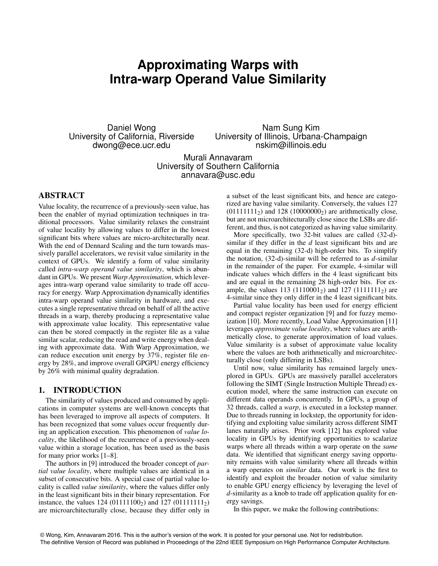# **Approximating Warps with Intra-warp Operand Value Similarity**

Daniel Wong University of California, Riverside dwong@ece.ucr.edu

Nam Sung Kim University of Illinois, Urbana-Champaign nskim@illinois.edu

Murali Annavaram University of Southern California annavara@usc.edu

# ABSTRACT

Value locality, the recurrence of a previously-seen value, has been the enabler of myriad optimization techniques in traditional processors. Value similarity relaxes the constraint of value locality by allowing values to differ in the lowest significant bits where values are micro-architecturally near. With the end of Dennard Scaling and the turn towards massively parallel accelerators, we revisit value similarity in the context of GPUs. We identify a form of value similarity called *intra-warp operand value similarity*, which is abundant in GPUs. We present *Warp Approximation*, which leverages intra-warp operand value similarity to trade off accuracy for energy. Warp Approximation dynamically identifies intra-warp operand value similarity in hardware, and executes a single representative thread on behalf of all the active threads in a warp, thereby producing a representative value with approximate value locality. This representative value can then be stored compactly in the register file as a value similar scalar, reducing the read and write energy when dealing with approximate data. With Warp Approximation, we can reduce execution unit energy by 37%, register file energy by 28%, and improve overall GPGPU energy efficiency by 26% with minimal quality degradation.

# 1. INTRODUCTION

The similarity of values produced and consumed by applications in computer systems are well-known concepts that has been leveraged to improve all aspects of computers. It has been recognized that some values occur frequently during an application execution. This phenomenon of *value locality*, the likelihood of the recurrence of a previously-seen value within a storage location, has been used as the basis for many prior works [1–8].

The authors in [9] introduced the broader concept of *partial value locality*, where multiple values are identical in a subset of consecutive bits. A special case of partial value locality is called *value similarity*, where the values differ only in the least significant bits in their binary representation. For instance, the values  $124 (01111100<sub>2</sub>)$  and  $127 (01111111<sub>2</sub>)$ are microarchitecturally close, because they differ only in a subset of the least significant bits, and hence are categorized are having value similarity. Conversely, the values 127  $(01111111<sub>2</sub>)$  and 128  $(10000000<sub>2</sub>)$  are arithmetically close, but are not microarchitecturally close since the LSBs are different, and thus, is not categorized as having value similarity.

More specifically, two 32-bit values are called (32-d) similar if they differ in the *d* least significant bits and are equal in the remaining (32-d) high-order bits. To simplify the notation, (32-d)-similar will be referred to as *d*-similar in the remainder of the paper. For example, 4-similar will indicate values which differs in the 4 least significant bits and are equal in the remaining 28 high-order bits. For example, the values  $113 (1110001<sub>2</sub>)$  and  $127 (1111111<sub>2</sub>)$  are 4-similar since they only differ in the 4 least significant bits.

Partial value locality has been used for energy efficient and compact register organization [9] and for fuzzy memoization [10]. More recently, Load Value Approximation [11] leverages *approximate value locality*, where values are arithmetically close, to generate approximation of load values. Value similarity is a subset of approximate value locality where the values are both arithmetically and microarchitecturally close (only differing in LSBs).

Until now, value similarity has remained largely unexplored in GPUs. GPUs are massively parallel accelerators following the SIMT (Single Instruction Multiple Thread) execution model, where the same instruction can execute on different data operands concurrently. In GPUs, a group of 32 threads, called a *warp*, is executed in a lockstep manner. Due to threads running in lockstep, the opportunity for identifying and exploiting value similarity across different SIMT lanes naturally arises. Prior work [12] has explored value locality in GPUs by identifying opportunities to scalarize warps where all threads within a warp operate on the *same* data. We identified that significant energy saving opportunity remains with value similarity where all threads within a warp operates on *similar* data. Our work is the first to identify and exploit the broader notion of value similarity to enable GPU energy efficiency by leveraging the level of *d*-similarity as a knob to trade off application quality for energy savings.

In this paper, we make the following contributions: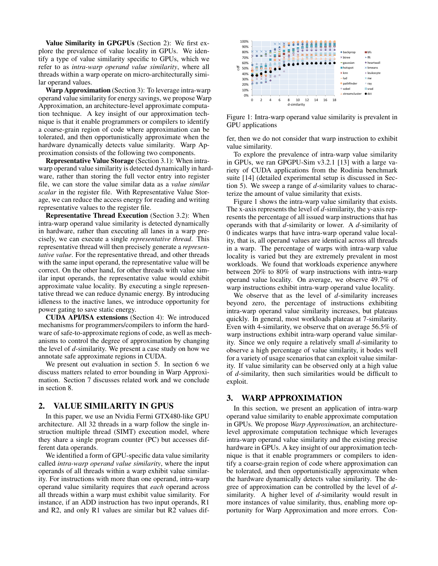Value Similarity in GPGPUs (Section 2): We first explore the prevalence of value locality in GPUs. We identify a type of value similarity specific to GPUs, which we refer to as *intra-warp operand value similarity*, where all threads within a warp operate on micro-architecturally similar operand values.

Warp Approximation (Section 3): To leverage intra-warp operand value similarity for energy savings, we propose Warp Approximation, an architecture-level approximate computation technique. A key insight of our approximation technique is that it enable programmers or compilers to identify a coarse-grain region of code where approximation can be tolerated, and then opportunistically approximate when the hardware dynamically detects value similarity. Warp Approximation consists of the following two components.

Representative Value Storage (Section 3.1): When intrawarp operand value similarity is detected dynamically in hardware, rather than storing the full vector entry into register file, we can store the value similar data as a *value similar scalar* in the register file. With Representative Value Storage, we can reduce the access energy for reading and writing representative values to the register file.

Representative Thread Execution (Section 3.2): When intra-warp operand value similarity is detected dynamically in hardware, rather than executing all lanes in a warp precisely, we can execute a single *representative thread*. This representative thread will then precisely generate a *representative value*. For the representative thread, and other threads with the same input operand, the representative value will be correct. On the other hand, for other threads with value similar input operands, the representative value would exhibit approximate value locality. By executing a single representative thread we can reduce dynamic energy. By introducing idleness to the inactive lanes, we introduce opportunity for power gating to save static energy.

CUDA API/ISA extensions (Section 4): We introduced mechanisms for programmers/compilers to inform the hardware of safe-to-approximate regions of code, as well as mechanisms to control the degree of approximation by changing the level of *d*-similarity. We present a case study on how we annotate safe approximate regions in CUDA.

We present out evaluation in section 5. In section 6 we discuss matters related to error bounding in Warp Approximation. Section 7 discusses related work and we conclude in section 8.

### 2. VALUE SIMILARITY IN GPUS

In this paper, we use an Nvidia Fermi GTX480-like GPU architecture. All 32 threads in a warp follow the single instruction multiple thread (SIMT) execution model, where they share a single program counter (PC) but accesses different data operands.

We identified a form of GPU-specific data value similarity called *intra-warp operand value similarity*, where the input operands of all threads within a warp exhibit value similarity. For instructions with more than one operand, intra-warp operand value similarity requires that *each* operand across all threads within a warp must exhibit value similarity. For instance, if an ADD instruction has two input operands, R1 and R2, and only R1 values are similar but R2 values dif-



Figure 1: Intra-warp operand value similarity is prevalent in GPU applications

fer, then we do not consider that warp instruction to exhibit value similarity.

To explore the prevalence of intra-warp value similarity in GPUs, we ran GPGPU-Sim v3.2.1 [13] with a large variety of CUDA applications from the Rodinia benchmark suite [14] (detailed experimental setup is discussed in Section 5). We sweep a range of *d*-similarity values to characterize the amount of value similarity that exists.

Figure 1 shows the intra-warp value similarity that exists. The x-axis represents the level of *d*-similarity, the y-axis represents the percentage of all issued warp instructions that has operands with that *d*-similarity or lower. A *d*-similarity of 0 indicates warps that have intra-warp operand value locality, that is, all operand values are identical across all threads in a warp. The percentage of warps with intra-warp value locality is varied but they are extremely prevalent in most workloads. We found that workloads experience anywhere between 20% to 80% of warp instructions with intra-warp operand value locality. On average, we observe 49.7% of warp instructions exhibit intra-warp operand value locality.

We observe that as the level of *d*-similarity increases beyond zero, the percentage of instructions exhibiting intra-warp operand value similarity increases, but plateaus quickly. In general, most workloads plateau at 7-similarity. Even with 4-similarity, we observe that on average 56.5% of warp instructions exhibit intra-warp operand value similarity. Since we only require a relatively small *d*-similarity to observe a high percentage of value similarity, it bodes well for a variety of usage scenarios that can exploit value similarity. If value similarity can be observed only at a high value of *d*-similarity, then such similarities would be difficult to exploit.

# 3. WARP APPROXIMATION

In this section, we present an application of intra-warp operand value similarity to enable approximate computation in GPUs. We propose *Warp Approximation*, an architecturelevel approximate computation technique which leverages intra-warp operand value similarity and the existing precise hardware in GPUs. A key insight of our approximation technique is that it enable programmers or compilers to identify a coarse-grain region of code where approximation can be tolerated, and then opportunistically approximate when the hardware dynamically detects value similarity. The degree of approximation can be controlled by the level of *d*similarity. A higher level of *d*-similarity would result in more instances of value similarity, thus, enabling more opportunity for Warp Approximation and more errors. Con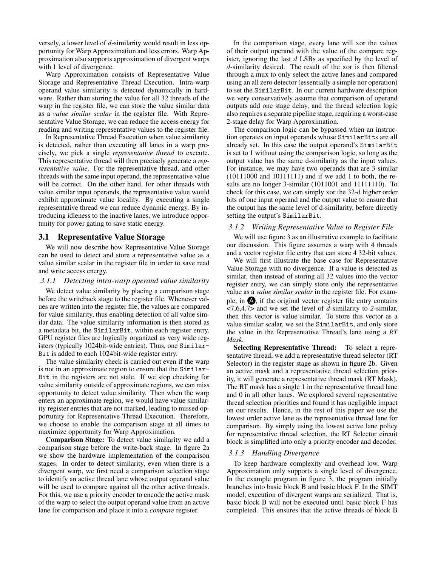versely, a lower level of *d*-similarity would result in less opportunity for Warp Approximation and less errors. Warp Approximation also supports approximation of divergent warps with 1 level of divergence.

Warp Approximation consists of Representative Value Storage and Representative Thread Execution. Intra-warp operand value similarity is detected dynamically in hardware. Rather than storing the value for all 32 threads of the warp in the register file, we can store the value similar data as a *value similar scalar* in the register file. With Representative Value Storage, we can reduce the access energy for reading and writing representative values to the register file.

In Representative Thread Execution when value similarity is detected, rather than executing all lanes in a warp precisely, we pick a single *representative thread* to execute. This representative thread will then precisely generate a *representative value*. For the representative thread, and other threads with the same input operand, the representative value will be correct. On the other hand, for other threads with value similar input operands, the representative value would exhibit approximate value locality. By executing a single representative thread we can reduce dynamic energy. By introducing idleness to the inactive lanes, we introduce opportunity for power gating to save static energy.

# 3.1 Representative Value Storage

We will now describe how Representative Value Storage can be used to detect and store a representative value as a value similar scalar in the register file in order to save read and write access energy.

#### *3.1.1 Detecting intra-warp operand value similarity*

We detect value similarity by placing a comparison stage before the writeback stage to the register file. Whenever values are written into the register file, the values are compared for value similarity, thus enabling detection of all value similar data. The value similarity information is then stored as a metadata bit, the SimilarBit, within each register entry. GPU register files are logically organized as very wide registers (typically 1024bit-wide entries). Thus, one Similar-Bit is added to each 1024bit-wide register entry.

The value similarity check is carried out even if the warp is not in an approximate region to ensure that the Similar-Bit in the registers are not stale. If we stop checking for value similarity outside of approximate regions, we can miss opportunity to detect value similarity. Then when the warp enters an approximate region, we would have value similarity register entries that are not marked, leading to missed opportunity for Representative Thread Execution. Therefore, we choose to enable the comparison stage at all times to maximize opportunity for Warp Approximation.

Comparison Stage: To detect value similarity we add a comparison stage before the write-back stage. In figure 2a we show the hardware implementation of the comparison stages. In order to detect similarity, even when there is a divergent warp, we first need a comparison selection stage to identify an active thread lane whose output operand value will be used to compare against all the other active threads. For this, we use a priority encoder to encode the active mask of the warp to select the output operand value from an active lane for comparison and place it into a *compare* register.

In the comparison stage, every lane will xor the values of their output operand with the value of the compare register, ignoring the last *d* LSBs as specified by the level of *d*-similarity desired. The result of the xor is then filtered through a mux to only select the active lanes and compared using an all zero detector (essentially a simple nor operation) to set the SimilarBit. In our current hardware description we very conservatively assume that comparison of operand outputs add one stage delay, and the thread selection logic also requires a separate pipeline stage, requiring a worst-case 2-stage delay for Warp Approximation.

The comparison logic can be bypassed when an instruction operates on input operands whose SimilarBits are all already set. In this case the output operand's SimilarBit is set to 1 without using the comparison logic, so long as the output value has the same d-similarity as the input values. For instance, we may have two operands that are 3-similar (10111000 and 10111111) and if we add 1 to both, the results are no longer 3-similar (1011001 and 11111110). To check for this case, we can simply xor the 32-d higher order bits of one input operand and the output value to ensure that the output has the same level of d-similarity, before directly setting the output's SimilarBit.

### *3.1.2 Writing Representative Value to Register File*

We will use figure 3 as an illustrative example to facilitate our discussion. This figure assumes a warp with 4 threads and a vector register file entry that can store 4 32-bit values.

We will first illustrate the base case for Representative Value Storage with no divergence. If a value is detected as similar, then instead of storing all 32 values into the vector register entry, we can simply store only the representative value as a *value similar scalar* in the register file. For example, in  $\triangle$ , if the original vector register file entry contains <7,6,4,7> and we set the level of *d*-similarity to *2*-similar, then this vector is value similar. To store this vector as a value similar scalar, we set the SimilarBit, and only store the value in the Representative Thread's lane using a *RT Mask*.

Selecting Representative Thread: To select a representative thread, we add a representative thread selector (RT Selector) in the register stage as shown in figure 2b. Given an active mask and a representative thread selection priority, it will generate a representative thread mask (RT Mask). The RT mask has a single 1 in the representative thread lane and 0 in all other lanes. We explored several representative thread selection priorities and found it has negligible impact on our results. Hence, in the rest of this paper we use the lowest order active lane as the representative thread lane for comparison. By simply using the lowest active lane policy for representative thread selection, the RT Selector circuit block is simplified into only a priority encoder and decoder.

### *3.1.3 Handling Divergence*

To keep hardware complexity and overhead low, Warp Approximation only supports a single level of divergence. In the example program in figure 3, the program initially branches into basic block B and basic block F. In the SIMT model, execution of divergent warps are serialized. That is, basic block B will not be executed until basic block F has completed. This ensures that the active threads of block B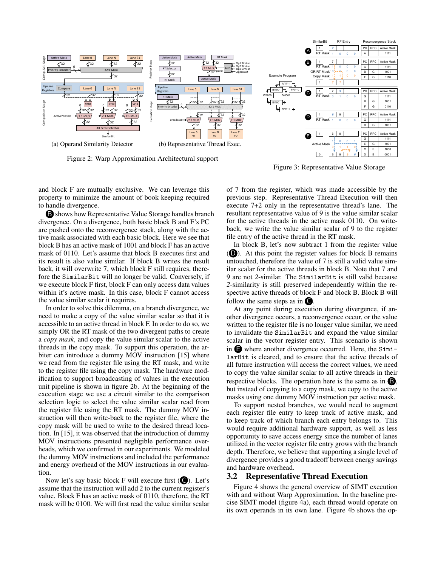

Figure 2: Warp Approximation Architectural support

Figure 3: Representative Value Storage

and block F are mutually exclusive. We can leverage this property to minimize the amount of book keeping required to handle divergence.

**B** shows how Representative Value Storage handles branch divergence. On a divergence, both basic block B and F's PC are pushed onto the reconvergence stack, along with the active mask associated with each basic block. Here we see that block B has an active mask of 1001 and block F has an active mask of 0110. Let's assume that block B executes first and its result is also value similar. If block B writes the result back, it will overwrite 7, which block F still requires, therefore the SimilarBit will no longer be valid. Conversely, if we execute block F first, block F can only access data values within it's active mask. In this case, block F cannot access the value similar scalar it requires.

In order to solve this dilemma, on a branch divergence, we need to make a copy of the value similar scalar so that it is accessible to an active thread in block F. In order to do so, we simply OR the RT mask of the two divergent paths to create a *copy mask*, and copy the value similar scalar to the active threads in the copy mask. To support this operation, the arbiter can introduce a dummy MOV instruction [15] where we read from the register file using the RT mask, and write to the register file using the copy mask. The hardware modification to support broadcasting of values in the execution unit pipeline is shown in figure 2b. At the beginning of the execution stage we use a circuit similar to the comparison selection logic to select the value similar scalar read from the register file using the RT mask. The dummy MOV instruction will then write-back to the register file, where the copy mask will be used to write to the desired thread location. In [15], it was observed that the introduction of dummy MOV instructions presented negligible performance overheads, which we confirmed in our experiments. We modeled the dummy MOV instructions and included the performance and energy overhead of the MOV instructions in our evaluation.

Now let's say basic block F will execute first  $(Q)$ . Let's assume that the instruction will add 2 to the current register's value. Block F has an active mask of 0110, therefore, the RT mask will be 0100. We will first read the value similar scalar of 7 from the register, which was made accessible by the previous step. Representative Thread Execution will then execute 7+2 only in the representative thread's lane. The resultant representative value of 9 is the value similar scalar for the active threads in the active mask 0110. On writeback, we write the value similar scalar of 9 to the register file entry of the active thread in the RT mask.

In block B, let's now subtract 1 from the register value  $(\bullet)$ . At this point the register values for block B remains untouched, therefore the value of 7 is still a valid value similar scalar for the active threads in block B. Note that 7 and 9 are not *2*-similar. The SimilarBit is still valid because *2*-similarity is still preserved independently within the respective active threads of block F and block B. Block B will follow the same steps as in  $\bullet$ .

At any point during execution during divergence, if another divergence occurs, a reconvergence occur, or the value written to the register file is no longer value similar, we need to invalidate the SimilarBit and expand the value similar scalar in the vector register entry. This scenario is shown in  $\bigoplus$  where another divergence occurred. Here, the SimilarBit is cleared, and to ensure that the active threads of all future instruction will access the correct values, we need to copy the value similar scalar to all active threads in their respective blocks. The operation here is the same as in  $\mathbf{B}$ , but instead of copying to a copy mask, we copy to the active masks using one dummy MOV instruction per active mask.

To support nested branches, we would need to augment each register file entry to keep track of active mask, and to keep track of which branch each entry belongs to. This would require additional hardware support, as well as less opportunity to save access energy since the number of lanes utilized in the vector register file entry grows with the branch depth. Therefore, we believe that supporting a single level of divergence provides a good tradeoff between energy savings and hardware overhead.

# 3.2 Representative Thread Execution

Figure 4 shows the general overview of SIMT execution with and without Warp Approximation. In the baseline precise SIMT model (figure 4a), each thread would operate on its own operands in its own lane. Figure 4b shows the op-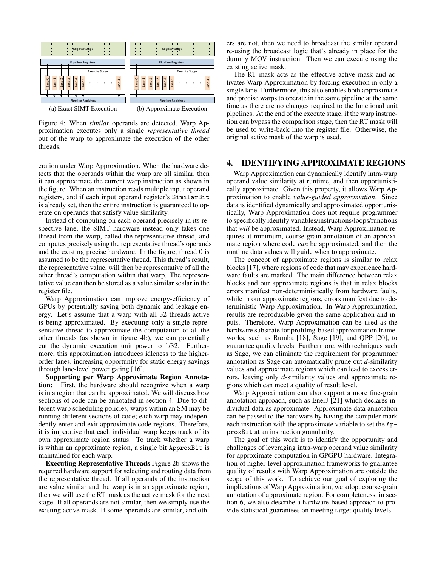

Figure 4: When *similar* operands are detected, Warp Approximation executes only a single *representative thread* out of the warp to approximate the execution of the other threads.

eration under Warp Approximation. When the hardware detects that the operands within the warp are all similar, then it can approximate the current warp instruction as shown in the figure. When an instruction reads multiple input operand registers, and if each input operand register's SimilarBit is already set, then the entire instruction is guaranteed to operate on operands that satisfy value similarity.

Instead of computing on each operand precisely in its respective lane, the SIMT hardware instead only takes one thread from the warp, called the representative thread, and computes precisely using the representative thread's operands and the existing precise hardware. In the figure, thread 0 is assumed to be the representative thread. This thread's result, the representative value, will then be representative of all the other thread's computation within that warp. The representative value can then be stored as a value similar scalar in the register file.

Warp Approximation can improve energy-efficiency of GPUs by potentially saving both dynamic and leakage energy. Let's assume that a warp with all 32 threads active is being approximated. By executing only a single representative thread to approximate the computation of all the other threads (as shown in figure 4b), we can potentially cut the dynamic execution unit power to 1/32. Furthermore, this approximation introduces idleness to the higherorder lanes, increasing opportunity for static energy savings through lane-level power gating [16].

Supporting per Warp Approximate Region Annotation: First, the hardware should recognize when a warp is in a region that can be approximated. We will discuss how sections of code can be annotated in section 4. Due to different warp scheduling policies, warps within an SM may be running different sections of code; each warp may independently enter and exit approximate code regions. Therefore, it is imperative that each individual warp keeps track of its own approximate region status. To track whether a warp is within an approximate region, a single bit ApproxBit is maintained for each warp.

Executing Representative Threads Figure 2b shows the required hardware support for selecting and routing data from the representative thread. If all operands of the instruction are value similar and the warp is in an approximate region, then we will use the RT mask as the active mask for the next stage. If all operands are not similar, then we simply use the existing active mask. If some operands are similar, and others are not, then we need to broadcast the similar operand re-using the broadcast logic that's already in place for the dummy MOV instruction. Then we can execute using the existing active mask.

The RT mask acts as the effective active mask and activates Warp Approximation by forcing execution in only a single lane. Furthermore, this also enables both approximate and precise warps to operate in the same pipeline at the same time as there are no changes required to the functional unit pipelines. At the end of the execute stage, if the warp instruction can bypass the comparison stage, then the RT mask will be used to write-back into the register file. Otherwise, the original active mask of the warp is used.

# 4. IDENTIFYING APPROXIMATE REGIONS

Warp Approximation can dynamically identify intra-warp operand value similarity at runtime, and then opportunistically approximate. Given this property, it allows Warp Approximation to enable *value-guided approximation*. Since data is identified dynamically and approximated opportunistically, Warp Approximation does not require programmer to specifically identify variables/instructions/loops/functions that *will* be approximated. Instead, Warp Approximation requires at minimum, course-grain annotation of an approximate region where code *can* be approximated, and then the runtime data values will guide when to approximate.

The concept of approximate regions is similar to relax blocks [17], where regions of code that may experience hardware faults are marked. The main difference between relax blocks and our approximate regions is that in relax blocks errors manifest non-deterministically from hardware faults, while in our approximate regions, errors manifest due to deterministic Warp Approximation. In Warp Approximation, results are reproducible given the same application and inputs. Therefore, Warp Approximation can be used as the hardware substrate for profiling-based approximation frameworks, such as Rumba [18], Sage [19], and QPP [20], to guarantee quality levels. Furthermore, with techniques such as Sage, we can eliminate the requirement for programmer annotation as Sage can automatically prune out *d*-similarity values and approximate regions which can lead to excess errors, leaving only *d*-similarity values and approximate regions which can meet a quality of result level.

Warp Approximation can also support a more fine-grain annotation approach, such as EnerJ [21] which declares individual data as approximate. Approximate data annotation can be passed to the hardware by having the compiler mark each instruction with the approximate variable to set the ApproxBit at an instruction granularity.

The goal of this work is to identify the opportunity and challenges of leveraging intra-warp operand value similarity for approximate computation in GPGPU hardware. Integration of higher-level approximation frameworks to guarantee quality of results with Warp Approximation are outside the scope of this work. To achieve our goal of exploring the implications of Warp Approximation, we adopt course-grain annotation of approximate region. For completeness, in section 6, we also describe a hardware-based approach to provide statistical guarantees on meeting target quality levels.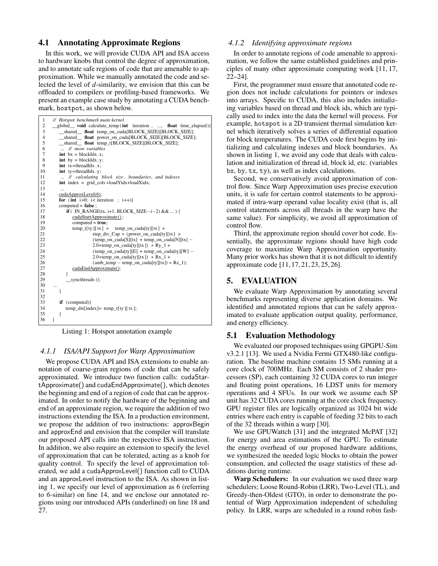# 4.1 Annotating Approximate Regions

In this work, we will provide CUDA API and ISA access to hardware knobs that control the degree of approximation, and to annotate safe regions of code that are amenable to approximation. While we manually annotated the code and selected the level of *d*-similarity, we envision that this can be offloaded to compilers or profiling-based frameworks. We present an example case study by annotating a CUDA benchmark, hostpot, as shown below.



Listing 1: Hotspot annotation example

# *4.1.1 ISA/API Support for Warp Approximation*

We propose CUDA API and ISA extensions to enable annotation of coarse-grain regions of code that can be safely approximated. We introduce two function calls: cudaStartApproximate() and cudaEndApproximate(), which denotes the beginning and end of a region of code that can be approximated. In order to notify the hardware of the beginning and end of an approximate region, we require the addition of two instructions extending the ISA. In a production environment, we propose the addition of two instructions: approxBegin and approxEnd and envision that the compiler will translate our proposed API calls into the respective ISA instruction. In addition, we also require an extension to specify the level of approximation that can be tolerated, acting as a knob for quality control. To specify the level of approximation tolerated, we add a cudaApproxLevel() function call to CUDA and an approxLevel instruction to the ISA. As shown in listing 1, we specify our level of approximation as 6 (referring to *6*-similar) on line 14, and we enclose our annotated regions using our introduced APIs (underlined) on line 18 and 27.

### *4.1.2 Identifying approximate regions*

In order to annotate regions of code amenable to approximation, we follow the same established guidelines and principles of many other approximate computing work [11, 17, 22–24].

First, the programmer must ensure that annotated code region does not include calculations for pointers or indexes into arrays. Specific to CUDA, this also includes initializing variables based on thread and block ids, which are typically used to index into the data the kernel will process. For example, hotspot is a 2D transient thermal simulation kernel which iteratively solves a series of differential equation for block temperatures. The CUDA code first begins by initializing and calculating indexes and block boundaries. As shown in listing 1, we avoid any code that deals with calculation and initialization of thread id, block id, etc. (variables bx, by, tx, ty), as well as index calculations.

Second, we conservatively avoid approximation of control flow. Since Warp Approximation uses precise execution units, it is safe for certain control statements to be approximated if intra-warp operand value locality exist (that is, all control statements across all threads in the warp have the same value). For simplicity, we avoid all approximation of control flow.

Third, the approximate region should cover hot code. Essentially, the approximate regions should have high code coverage to maximize Warp Approximation opportunity. Many prior works has shown that it is not difficult to identify approximate code [11, 17, 21, 23, 25, 26].

### 5. EVALUATION

We evaluate Warp Approximation by annotating several benchmarks representing diverse application domains. We identified and annotated regions that can be safely approximated to evaluate application output quality, performance, and energy efficiency.

### 5.1 Evaluation Methodology

We evaluated our proposed techniques using GPGPU-Sim v3.2.1 [13]. We used a Nvidia Fermi GTX480-like configuration. The baseline machine contains 15 SMs running at a core clock of 700MHz. Each SM consists of 2 shader processors (SP), each containing 32 CUDA cores to run integer and floating point operations, 16 LDST units for memory operations and 4 SFUs. In our work we assume each SP unit has 32 CUDA cores running at the core clock frequency. GPU register files are logically organized as 1024 bit wide entries where each entry is capable of feeding 32 bits to each of the 32 threads within a warp [30].

We use GPUWattch [31] and the integrated McPAT [32] for energy and area estimations of the GPU. To estimate the energy overhead of our proposed hardware additions, we synthesized the needed logic blocks to obtain the power consumption, and collected the usage statistics of these additions during runtime.

Warp Schedulers: In our evaluation we used three warp schedulers; Loose Round-Robin (LRR), Two-Level (TL), and Greedy-then-Oldest (GTO), in order to demonstrate the potential of Warp Approximation independent of scheduling policy. In LRR, warps are scheduled in a round robin fash-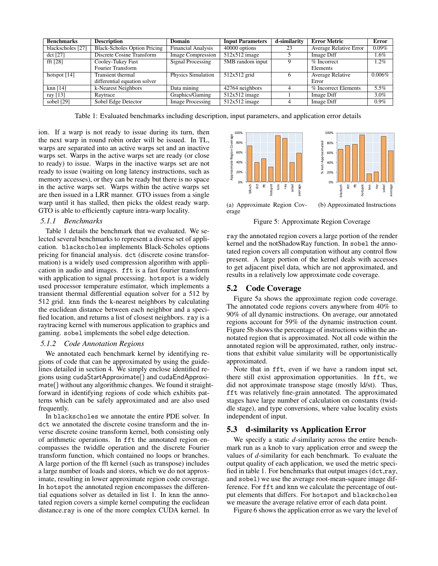| <b>Benchmarks</b> | <b>Description</b>                  | <b>Domain</b>             | <b>Input Parameters</b> | d-similarity | <b>Error Metric</b>     | Error     |
|-------------------|-------------------------------------|---------------------------|-------------------------|--------------|-------------------------|-----------|
| blackscholes [27] | <b>Black-Scholes Option Pricing</b> | <b>Financial Analysis</b> | 40000 options           | 23           | Average Relative Error  | 0.09%     |
| dct $[27]$        | Discrete Cosine Transform           | Image Compression         | $512x512$ image         |              | Image Diff              | $1.6\%$   |
| fft $[28]$        | Cooley-Tukey Fast                   | Signal Processing         | 5MB random input        |              | $%$ Incorrect           | $1.2\%$   |
|                   | Fourier Transform                   |                           |                         |              | Elements                |           |
| hotspot $[14]$    | Transient thermal                   | <b>Physics Simulation</b> | $512x512$ grid          |              | <b>Average Relative</b> | $0.006\%$ |
|                   | differential equation solver        |                           |                         |              | Error                   |           |
| knn $[14]$        | k-Nearest Neighbors                 | Data mining               | 42764 neighbors         |              | % Incorrect Elements    | 5.5%      |
| ray [13]          | Ravtrace                            | Graphics/Gaming           | $512x512$ image         |              | Image Diff              | 3.0%      |
| sobel [29]        | Sobel Edge Detector                 | <b>Image Processing</b>   | $512x512$ image         |              | Image Diff              | $0.9\%$   |

Table 1: Evaluated benchmarks including description, input parameters, and application error details

ion. If a warp is not ready to issue during its turn, then the next warp in round robin order will be issued. In TL, warps are separated into an active warps set and an inactive warps set. Warps in the active warps set are ready (or close to ready) to issue. Warps in the inactive warps set are not ready to issue (waiting on long latency instructions, such as memory accesses), or they can be ready but there is no space in the active warps set. Warps within the active warps set are then issued in a LRR manner. GTO issues from a single warp until it has stalled, then picks the oldest ready warp. GTO is able to efficiently capture intra-warp locality.

### *5.1.1 Benchmarks*

Table 1 details the benchmark that we evaluated. We selected several benchmarks to represent a diverse set of application. blackscholes implements Black-Scholes options pricing for financial analysis. dct (discrete cosine transformation) is a widely used compression algorithm with application in audio and images. fft is a fast fourier transform with application to signal processing. hotspot is a widely used processor temperature estimator, which implements a transient thermal differential equation solver for a 512 by 512 grid. knn finds the k-nearest neighbors by calculating the euclidean distance between each neighbor and a specified location, and returns a list of closest neighbors. ray is a raytracing kernel with numerous application to graphics and gaming. sobel implements the sobel edge detection.

#### *5.1.2 Code Annotation Regions*

We annotated each benchmark kernel by identifying regions of code that can be approximated by using the guidelines detailed in section 4. We simply enclose identified regions using cudaStartApproximate() and cudaEndApproximate() without any algorithmic changes. We found it straightforward in identifying regions of code which exhibits patterns which can be safely approximated and are also used frequently.

In blackscholes we annotate the entire PDE solver. In dct we annotated the discrete cosine transform and the inverse discrete cosine transform kernel, both consisting only of arithmetic operations. In fft the annotated region encompasses the twiddle operation and the discrete Fourier transform function, which contained no loops or branches. A large portion of the fft kernel (such as transpose) includes a large number of loads and stores, which we do not approximate, resulting in lower approximate region code coverage. In hotspot the annotated region encompasses the differential equations solver as detailed in list 1. In knn the annotated region covers a simple kernel computing the euclidean distance.ray is one of the more complex CUDA kernel. In



(a) Approximate Region Coverage (b) Approximated Instructions

#### Figure 5: Approximate Region Coverage

ray the annotated region covers a large portion of the render kernel and the notShadowRay function. In sobel the annotated region covers all computation without any control flow present. A large portion of the kernel deals with accesses to get adjacent pixel data, which are not approximated, and results in a relatively low approximate code coverage.

### 5.2 Code Coverage

Figure 5a shows the approximate region code coverage. The annotated code regions covers anywhere from 40% to 90% of all dynamic instructions. On average, our annotated regions account for 59% of the dynamic instruction count. Figure 5b shows the percentage of instructions within the annotated region that is approximated. Not all code within the annotated region will be approximated, rather, only instructions that exhibit value similarity will be opportunistically approximated.

Note that in fft, even if we have a random input set, there still exist approximation opportunities. In fft, we did not approximate transpose stage (mostly ld/st). Thus, fft was relatively fine-grain annotated. The approximated stages have large number of calculation on constants (twiddle stage), and type conversions, where value locality exists independent of input.

# 5.3 d-similarity vs Application Error

We specify a static *d*-similarity across the entire benchmark run as a knob to vary application error and sweep the values of *d*-similarity for each benchmark. To evaluate the output quality of each application, we used the metric specified in table 1. For benchmarks that output images (dct,ray, and sobel) we use the average root-mean-square image difference. For fft and knn we calculate the percentage of output elements that differs. For hotspot and blackscholes we measure the average relative error of each data point.

Figure 6 shows the application error as we vary the level of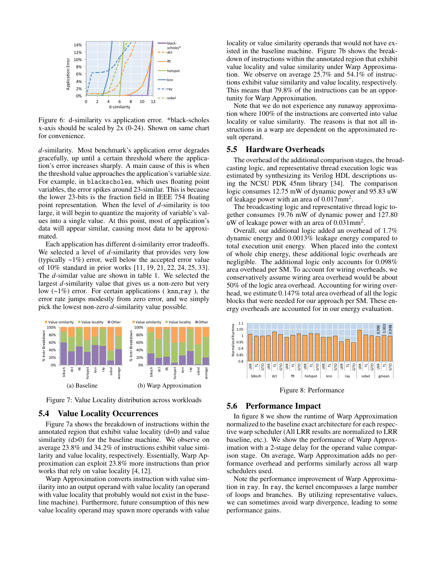

Figure 6: d-similarity vs application error. \*black-scholes x-axis should be scaled by  $2x(0-24)$ . Shown on same chart for convenience.

*d*-similarity. Most benchmark's application error degrades gracefully, up until a certain threshold where the application's error increases sharply. A main cause of this is when the threshold value approaches the application's variable size. For example, in blackscholes, which uses floating point variables, the error spikes around 23-similar. This is because the lower 23-bits is the fraction field in IEEE 754 floating point representation. When the level of *d*-similarity is too large, it will begin to quantize the majority of variable's values into a single value. At this point, most of application's data will appear similar, causing most data to be approximated.

Each application has different d-similarity error tradeoffs. We selected a level of *d*-similarity that provides very low (typically  $\sim$ 1%) error, well below the accepted error value of 10% standard in prior works [11, 19, 21, 22, 24, 25, 33]. The *d*-similar value are shown in table 1. We selected the largest *d*-similarity value that gives us a non-zero but very low  $(-1%)$  error. For certain applications ( $kmn, ray$ ), the error rate jumps modestly from zero error, and we simply pick the lowest non-zero *d*-similarity value possible.



Figure 7: Value Locality distribution across workloads

### 5.4 Value Locality Occurrences

Figure 7a shows the breakdown of instructions within the annotated region that exhibit value locality (d=0) and value similarity (d>0) for the baseline machine. We observe on average 23.8% and 34.2% of instructions exhibit value similarity and value locality, respectively. Essentially, Warp Approximation can exploit 23.8% more instructions than prior works that rely on value locality [4, 12].

Warp Approximation converts instruction with value similarity into an output operand with value locality (an operand with value locality that probably would not exist in the baseline machine). Furthermore, future consumption of this new value locality operand may spawn more operands with value locality or value similarity operands that would not have existed in the baseline machine. Figure 7b shows the breakdown of instructions within the annotated region that exhibit value locality and value similarity under Warp Approximation. We observe on average 25.7% and 54.1% of instructions exhibit value similarity and value locality, respectively. This means that 79.8% of the instructions can be an opportunity for Warp Approximation.

Note that we do not experience any runaway approximation where 100% of the instructions are converted into value locality or value similarity. The reasons is that not all instructions in a warp are dependent on the approximated result operand.

### 5.5 Hardware Overheads

The overhead of the additional comparison stages, the broadcasting logic, and representative thread execution logic was estimated by synthesizing its Verilog HDL descriptions using the NCSU PDK 45nm library [34]. The comparison logic consumes 12.75 mW of dynamic power and 95.83 uW of leakage power with an area of 0.017mm2.

The broadcasting logic and representative thread logic together consumes 19.76 mW of dynamic power and 127.80 uW of leakage power with an area of 0.031mm2.

Overall, our additional logic added an overhead of 1.7% dynamic energy and 0.0013% leakage energy compared to total execution unit energy. When placed into the context of whole chip energy, these additional logic overheads are negligible. The additional logic only accounts for 0.098% area overhead per SM. To account for wiring overheads, we conservatively assume wiring area overhead would be about 50% of the logic area overhead. Accounting for wiring overhead, we estimate 0.147% total area overhead of all the logic blocks that were needed for our approach per SM. These energy overheads are accounted for in our energy evaluation.



Figure 8: Performance

### 5.6 Performance Impact

In figure 8 we show the runtime of Warp Approximation normalized to the baseline exact architecture for each respective warp scheduler (All LRR results are normalized to LRR baseline, etc.). We show the performance of Warp Approximation with a 2-stage delay for the operand value comparison stage. On average, Warp Approximation adds no performance overhead and performs similarly across all warp schedulers used.

Note the performance improvement of Warp Approximation in ray. In ray, the kernel encompasses a large number of loops and branches. By utilizing representative values, we can sometimes avoid warp divergence, leading to some performance gains.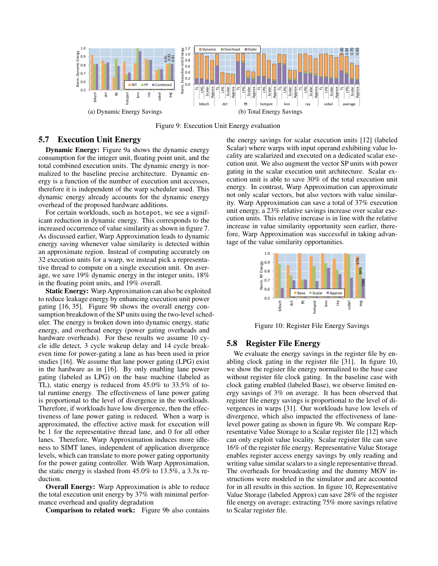

Figure 9: Execution Unit Energy evaluation

# 5.7 Execution Unit Energy

Dynamic Energy: Figure 9a shows the dynamic energy consumption for the integer unit, floating point unit, and the total combined execution units. The dynamic energy is normalized to the baseline precise architecture. Dynamic energy is a function of the number of execution unit accesses, therefore it is independent of the warp scheduler used. This dynamic energy already accounts for the dynamic energy overhead of the proposed hardware additions.

For certain workloads, such as hotspot, we see a significant reduction in dynamic energy. This corresponds to the increased occurrence of value similarity as shown in figure 7. As discussed earlier, Warp Approximation leads to dynamic energy saving whenever value similarity is detected within an approximate region. Instead of computing accurately on 32 execution units for a warp, we instead pick a representative thread to compute on a single execution unit. On average, we save 19% dynamic energy in the integer units, 18% in the floating point units, and 19% overall.

Static Energy: Warp Approximation can also be exploited to reduce leakage energy by enhancing execution unit power gating [16, 35]. Figure 9b shows the overall energy consumption breakdown of the SP units using the two-level scheduler. The energy is broken down into dynamic energy, static energy, and overhead energy (power gating overheads and hardware overheads). For these results we assume 10 cycle idle detect, 3 cycle wakeup delay and 14 cycle breakeven time for power-gating a lane as has been used in prior studies [16]. We assume that lane power gating (LPG) exist in the hardware as in [16]. By only enabling lane power gating (labeled as LPG) on the base machine (labeled as TL), static energy is reduced from 45.0% to 33.5% of total runtime energy. The effectiveness of lane power gating is proportional to the level of divergence in the workloads. Therefore, if workloads have low divergence, then the effectiveness of lane power gating is reduced. When a warp is approximated, the effective active mask for execution will be 1 for the representative thread lane, and 0 for all other lanes. Therefore, Warp Approximation induces more idleness to SIMT lanes, independent of application divergence levels, which can translate to more power gating opportunity for the power gating controller. With Warp Approximation, the static energy is slashed from 45.0% to 13.5%, a 3.3x reduction.

Overall Energy: Warp Approximation is able to reduce the total execution unit energy by 37% with minimal performance overhead and quality degradation

Comparison to related work: Figure 9b also contains

the energy savings for scalar execution units [12] (labeled Scalar) where warps with input operand exhibiting value locality are scalarized and executed on a dedicated scalar execution unit. We also augment the vector SP units with power gating in the scalar execution unit architecture. Scalar execution unit is able to save 30% of the total execution unit energy. In contrast, Warp Approximation can approximate not only scalar vectors, but also vectors with value similarity. Warp Approximation can save a total of 37% execution unit energy, a 23% relative savings increase over scalar execution units. This relative increase is in line with the relative increase in value similarity opportunity seen earlier, therefore, Warp Approximation was successful in taking advantage of the value similarity opportunities.



Figure 10: Register File Energy Savings

# 5.8 Register File Energy

We evaluate the energy savings in the register file by enabling clock gating in the register file [31]. In figure 10, we show the register file energy normalized to the base case without register file clock gating. In the baseline case with clock gating enabled (labeled Base), we observe limited energy savings of 3% on average. It has been observed that register file energy savings is proportional to the level of divergences in warps [31]. Our workloads have low levels of divergence, which also impacted the effectiveness of lanelevel power gating as shown in figure 9b. We compare Representative Value Storage to a Scalar register file [12] which can only exploit value locality. Scalar register file can save 16% of the register file energy. Representative Value Storage enables register access energy savings by only reading and writing value similar scalars to a single representative thread. The overheads for broadcasting and the dummy MOV instructions were modeled in the simulator and are accounted for in all results in this section. In figure 10, Representative Value Storage (labeled Approx) can save 28% of the register file energy on average; extracting 75% more savings relative to Scalar register file.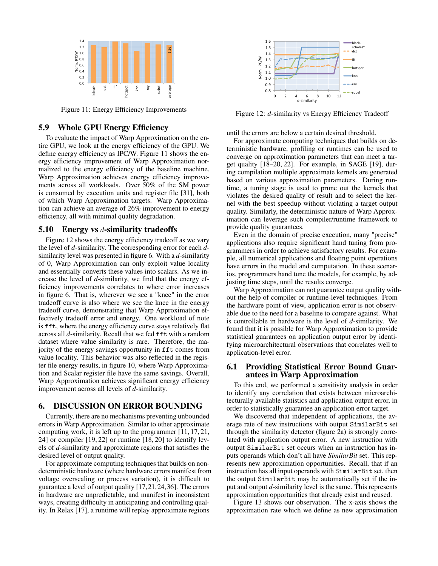

Figure 11: Energy Efficiency Improvements

# 5.9 Whole GPU Energy Efficiency

To evaluate the impact of Warp Approximation on the entire GPU, we look at the energy efficiency of the GPU. We define energy efficiency as IPC/W. Figure 11 shows the energy efficiency improvement of Warp Approximation normalized to the energy efficiency of the baseline machine. Warp Approximation achieves energy efficiency improvements across all workloads. Over 50% of the SM power is consumed by execution units and register file [31], both of which Warp Approximation targets. Warp Approximation can achieve an average of 26% improvement to energy efficiency, all with minimal quality degradation.

### 5.10 Energy vs *d*-similarity tradeoffs

Figure 12 shows the energy efficiency tradeoff as we vary the level of *d*-similarity. The corresponding error for each *d*similarity level was presented in figure 6. With a *d*-similarity of 0, Warp Approximation can only exploit value locality and essentially converts these values into scalars. As we increase the level of *d*-similarity, we find that the energy efficiency improvements correlates to where error increases in figure 6. That is, wherever we see a "knee" in the error tradeoff curve is also where we see the knee in the energy tradeoff curve, demonstrating that Warp Approximation effectively tradeoff error and energy. One workload of note is fft, where the energy efficiency curve stays relatively flat across all *d*-similarity. Recall that we fed fft with a random dataset where value similarity is rare. Therefore, the majority of the energy savings opportunity in fft comes from value locality. This behavior was also reflected in the register file energy results, in figure 10, where Warp Approximation and Scalar register file have the same savings. Overall, Warp Approximation achieves significant energy efficiency improvement across all levels of *d*-similarity.

# 6. DISCUSSION ON ERROR BOUNDING

Currently, there are no mechanisms preventing unbounded errors in Warp Approximation. Similar to other approximate computing work, it is left up to the programmer [11, 17, 21, 24] or compiler [19, 22] or runtime [18, 20] to identify levels of *d*-similarity and approximate regions that satisfies the desired level of output quality.

For approximate computing techniques that builds on nondeterministic hardware (where hardware errors manifest from voltage overscaling or process variation), it is difficult to guarantee a level of output quality [17,21,24,36]. The errors in hardware are unpredictable, and manifest in inconsistent ways, creating difficulty in anticipating and controlling quality. In Relax [17], a runtime will replay approximate regions



Figure 12: *d*-similarity vs Energy Efficiency Tradeoff

until the errors are below a certain desired threshold.

For approximate computing techniques that builds on deterministic hardware, profiling or runtimes can be used to converge on approximation parameters that can meet a target quality [18–20, 22]. For example, in SAGE [19], during compilation multiple approximate kernels are generated based on various approximation parameters. During runtime, a tuning stage is used to prune out the kernels that violates the desired quality of result and to select the kernel with the best speedup without violating a target output quality. Similarly, the deterministic nature of Warp Approximation can leverage such compiler/runtime framework to provide quality guarantees.

Even in the domain of precise execution, many "precise" applications also require significant hand tuning from programmers in order to achieve satisfactory results. For example, all numerical applications and floating point operations have errors in the model and computation. In these scenarios, programmers hand tune the models, for example, by adjusting time steps, until the results converge.

Warp Approximation can not guarantee output quality without the help of compiler or runtime-level techniques. From the hardware point of view, application error is not observable due to the need for a baseline to compare against. What is controllable in hardware is the level of *d*-similarity. We found that it is possible for Warp Approximation to provide statistical guarantees on application output error by identifying microarchitectural observations that correlates well to application-level error.

# 6.1 Providing Statistical Error Bound Guarantees in Warp Approximation

To this end, we performed a sensitivity analysis in order to identify any correlation that exists between microarchitecturally available statistics and application output error, in order to statistically guarantee an application error target.

We discovered that independent of applications, the average rate of new instructions with output SimilarBit set through the similarity detector (figure 2a) is strongly correlated with application output error. A new instruction with output SimilarBit set occurs when an instruction has inputs operands which don't all have *SimilarBit* set. This represents new approximation opportunities. Recall, that if an instruction has all input operands with SimilarBit set, then the output SimilarBit may be automatically set if the input and output *d*-similarity level is the same. This represents approximation opportunities that already exist and reused.

Figure 13 shows our observation. The x-axis shows the approximation rate which we define as new approximation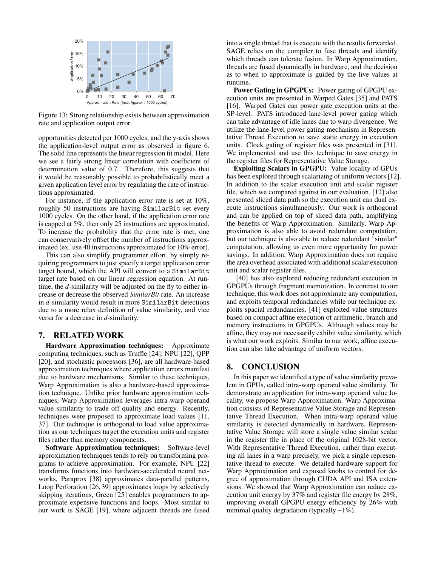

Figure 13: Strong relationship exists between approximation rate and application output error

opportunities detected per 1000 cycles, and the y-axis shows the application-level output error as observed in figure 6. The solid line represents the linear regression fit model. Here we see a fairly strong linear correlation with coefficient of determination value of 0.7. Therefore, this suggests that it would be reasonably possible to probabilistically meet a given application level error by regulating the rate of instructions approximated.

For instance, if the application error rate is set at 10%, roughly 50 instructions are having SimilarBit set every 1000 cycles. On the other hand, if the application error rate is capped at 5%, then only 25 instructions are approximated. To increase the probability that the error rate is met, one can conservatively offset the number of instructions approximated (ex. use 40 instructions approximated for 10% error).

This can also simplify programmer effort, by simply requiring programmers to just specify a target application error target bound, which the API will convert to a SimilarBit target rate based on our linear regression equation. At runtime, the *d*-similarity will be adjusted on the fly to either increase or decrease the observed *SimilarBit* rate. An increase in *d*-similarity would result in more SimilarBit detections due to a more relax definition of value similarity, and vice versa for a decrease in *d*-similarity.

# 7. RELATED WORK

Hardware Approximation techniques: Approximate computing techniques, such as Truffle [24], NPU [22], QPP [20], and stochastic processors [36], are all hardware-based approximation techniques where application errors manifest due to hardware mechanisms. Similar to these techniques, Warp Approximation is also a hardware-based approximation technique. Unlike prior hardware approximation techniques, Warp Approximation leverages intra-warp operand value similarity to trade off quality and energy. Recently, techniques were proposed to approximate load values [11, 37]. Our technique is orthogonal to load value approximation as our techniques target the execution units and register files rather than memory components.

Software Approximation techniques: Software-level approximation techniques tends to rely on transforming programs to achieve approximation. For example, NPU [22] transforms functions into hardware-accelerated neural networks, Paraprox [38] approximates data-parallel patterns, Loop Perforation [26, 39] approximates loops by selectively skipping iterations, Green [25] enables programmers to approximate expensive functions and loops. Most similar to our work is SAGE [19], where adjacent threads are fused into a single thread that is execute with the results forwarded. SAGE relies on the compiler to fuse threads and identify which threads can tolerate fusion. In Warp Approximation, threads are fused dynamically in hardware, and the decision as to when to approximate is guided by the live values at runtime.

Power Gating in GPGPUs: Power gating of GPGPU execution units are presented in Warped Gates [35] and PATS [16]. Warped Gates can power gate execution units at the SP-level. PATS introduced lane-level power gating which can take advantage of idle lanes due to warp divergence. We utilize the lane-level power gating mechanism in Representative Thread Execution to save static energy in execution units. Clock gating of register files was presented in [31]. We implemented and use this technique to save energy in the register files for Representative Value Storage.

Exploiting Scalars in GPGPU: Value locality of GPUs has been explored through scalarizing of uniform vectors [12]. In addition to the scalar execution unit and scalar register file, which we compared against in our evaluation, [12] also presented sliced data path so the execution unit can dual execute instructions simultaneously. Our work is orthogonal and can be applied on top of sliced data path, amplifying the benefits of Warp Approximation. Similarly, Warp Approximation is also able to avoid redundant computation, but our technique is also able to reduce redundant "similar" computation, allowing us even more opportunity for power savings. In addition, Warp Approximation does not require the area overhead associated with additional scalar execution unit and scalar register files.

[40] has also explored reducing redundant execution in GPGPUs through fragment memoization. In contrast to our technique, this work does not approximate any computation, and exploits temporal redundancies while our technique exploits spacial redundancies. [41] exploited value structures based on compact affine execution of arithmetic, branch and memory instructions in GPGPUs. Although values may be affine, they may not necessarily exhibit value similarity, which is what our work exploits. Similar to our work, affine execution can also take advantage of uniform vectors.

# 8. CONCLUSION

In this paper we identified a type of value similarity prevalent in GPUs, called intra-warp operand value similarity. To demonstrate an application for intra-warp operand value locality, we propose Warp Approximation. Warp Approximation consists of Representative Value Storage and Representative Thread Execution. When intra-warp operand value similarity is detected dynamically in hardware, Representative Value Storage will store a single value similar scalar in the register file in place of the original 1028-bit vector. With Representative Thread Execution, rather than executing all lanes in a warp precisely, we pick a single representative thread to execute. We detailed hardware support for Warp Approximation and exposed knobs to control for degree of approximation through CUDA API and ISA extensions. We showed that Warp Approximation can reduce execution unit energy by 37% and register file energy by 28%, improving overall GPGPU energy efficiency by 26% with minimal quality degradation (typically  $\sim$ 1%).